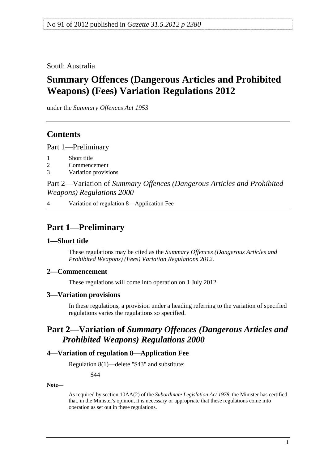<span id="page-0-0"></span>South Australia

# **Summary Offences (Dangerous Articles and Prohibited Weapons) (Fees) Variation Regulations 2012**

under the *Summary Offences Act 1953*

## **Contents**

[Part 1—Preliminary](#page-0-0)

- [1 Short title](#page-0-0)
- [2 Commencement](#page-0-0)
- [3 Variation provisions](#page-0-0)

Part 2—Variation of *[Summary Offences \(Dangerous Articles and Prohibited](#page-0-0)  [Weapons\) Regulations 2000](#page-0-0)*

[4 Variation of regulation 8—Application Fee](#page-0-0)

### **Part 1—Preliminary**

#### **1—Short title**

These regulations may be cited as the *Summary Offences (Dangerous Articles and Prohibited Weapons) (Fees) Variation Regulations 2012*.

#### **2—Commencement**

These regulations will come into operation on 1 July 2012.

#### **3—Variation provisions**

In these regulations, a provision under a heading referring to the variation of specified regulations varies the regulations so specified.

## **Part 2—Variation of** *Summary Offences (Dangerous Articles and Prohibited Weapons) Regulations 2000*

#### **4—Variation of regulation 8—Application Fee**

Regulation 8(1)—delete "\$43" and substitute:

\$44

**Note—** 

As required by section 10AA(2) of the *[Subordinate Legislation Act 1978](http://www.legislation.sa.gov.au/index.aspx?action=legref&type=act&legtitle=Subordinate%20Legislation%20Act%201978)*, the Minister has certified that, in the Minister's opinion, it is necessary or appropriate that these regulations come into operation as set out in these regulations.